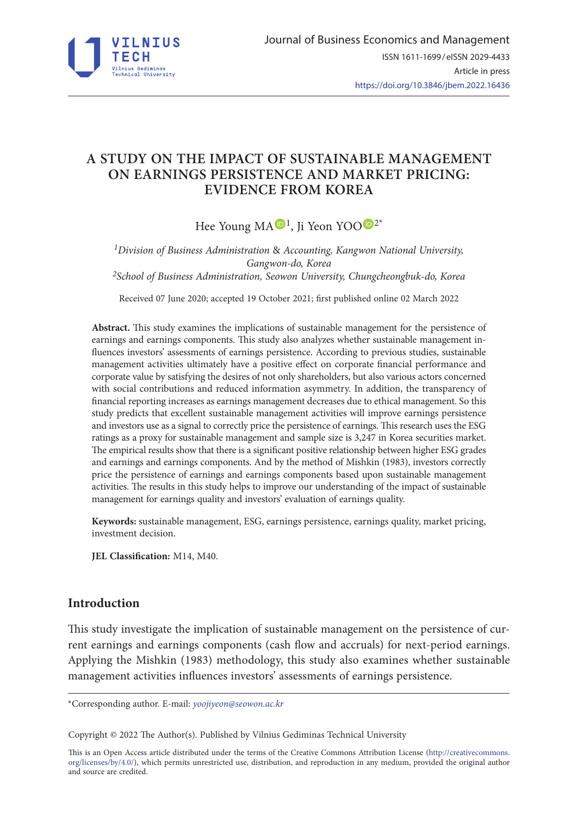

# **A STUDY ON THE IMPACT OF SUSTAINABLE MANAGEMENT ON EARNINGS PERSISTENCE AND MARKET PRICING: EVIDENCE FROM KOREA**

Hee Young MA $\mathbf{D}^1$  $\mathbf{D}^1$ , Ji Yeon Y[O](https://orcid.org/0000-0001-9803-8119)O $\mathbf{D}^{2*}$ 

*1Division of Business Administration* & *Accounting, Kangwon National University, Gangwon-do, Korea 2School of Business Administration, Seowon University, Chungcheongbuk-do, Korea*

Received 07 June 2020; accepted 19 October 2021; first published online 02 March 2022

**Abstract.** This study examines the implications of sustainable management for the persistence of earnings and earnings components. This study also analyzes whether sustainable management influences investors' assessments of earnings persistence. According to previous studies, sustainable management activities ultimately have a positive effect on corporate financial performance and corporate value by satisfying the desires of not only shareholders, but also various actors concerned with social contributions and reduced information asymmetry. In addition, the transparency of financial reporting increases as earnings management decreases due to ethical management. So this study predicts that excellent sustainable management activities will improve earnings persistence and investors use as a signal to correctly price the persistence of earnings. This research uses the ESG ratings as a proxy for sustainable management and sample size is 3,247 in Korea securities market. The empirical results show that there is a significant positive relationship between higher ESG grades and earnings and earnings components. And by the method of Mishkin (1983), investors correctly price the persistence of earnings and earnings components based upon sustainable management activities. The results in this study helps to improve our understanding of the impact of sustainable management for earnings quality and investors' evaluation of earnings quality.

**Keywords:** sustainable management, ESG, earnings persistence, earnings quality, market pricing, investment decision.

**JEL Classification:** M14, M40.

# **Introduction**

This study investigate the implication of sustainable management on the persistence of current earnings and earnings components (cash flow and accruals) for next-period earnings. Applying the Mishkin (1983) methodology, this study also examines whether sustainable management activities influences investors' assessments of earnings persistence.

\*Corresponding author. E-mail: *[yoojiyeon@seowon.ac.kr](mailto:yoojiyeon@seowon.ac.kr)*

Copyright © 2022 The Author(s). Published by Vilnius Gediminas Technical University

This is an Open Access article distributed under the terms of the Creative Commons Attribution License ([http://creativecommons.](http://creativecommons.org/licenses/by/4.0/) [org/licenses/by/4.0/\)](http://creativecommons.org/licenses/by/4.0/), which permits unrestricted use, distribution, and reproduction in any medium, provided the original author and source are credited.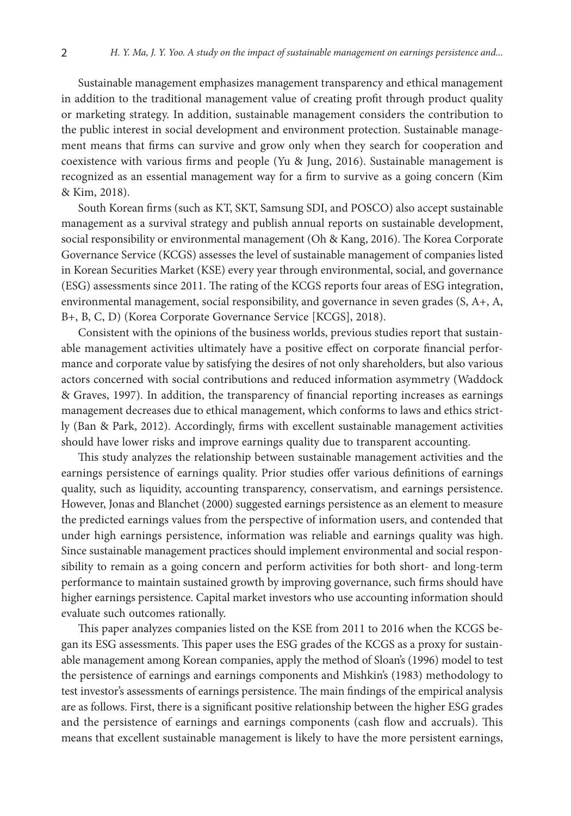Sustainable management emphasizes management transparency and ethical management in addition to the traditional management value of creating profit through product quality or marketing strategy. In addition, sustainable management considers the contribution to the public interest in social development and environment protection. Sustainable management means that firms can survive and grow only when they search for cooperation and coexistence with various firms and people (Yu & Jung, 2016). Sustainable management is recognized as an essential management way for a firm to survive as a going concern (Kim & Kim, 2018).

South Korean firms (such as KT, SKT, Samsung SDI, and POSCO) also accept sustainable management as a survival strategy and publish annual reports on sustainable development, social responsibility or environmental management (Oh & Kang, 2016). The Korea Corporate Governance Service (KCGS) assesses the level of sustainable management of companies listed in Korean Securities Market (KSE) every year through environmental, social, and governance (ESG) assessments since 2011. The rating of the KCGS reports four areas of ESG integration, environmental management, social responsibility, and governance in seven grades (S, A+, A, B+, B, C, D) (Korea Corporate Governance Service [KCGS], 2018).

Consistent with the opinions of the business worlds, previous studies report that sustainable management activities ultimately have a positive effect on corporate financial performance and corporate value by satisfying the desires of not only shareholders, but also various actors concerned with social contributions and reduced information asymmetry (Waddock & Graves, 1997). In addition, the transparency of financial reporting increases as earnings management decreases due to ethical management, which conforms to laws and ethics strictly (Ban & Park, 2012). Accordingly, firms with excellent sustainable management activities should have lower risks and improve earnings quality due to transparent accounting.

This study analyzes the relationship between sustainable management activities and the earnings persistence of earnings quality. Prior studies offer various definitions of earnings quality, such as liquidity, accounting transparency, conservatism, and earnings persistence. However, Jonas and Blanchet (2000) suggested earnings persistence as an element to measure the predicted earnings values from the perspective of information users, and contended that under high earnings persistence, information was reliable and earnings quality was high. Since sustainable management practices should implement environmental and social responsibility to remain as a going concern and perform activities for both short- and long-term performance to maintain sustained growth by improving governance, such firms should have higher earnings persistence. Capital market investors who use accounting information should evaluate such outcomes rationally.

This paper analyzes companies listed on the KSE from 2011 to 2016 when the KCGS began its ESG assessments. This paper uses the ESG grades of the KCGS as a proxy for sustainable management among Korean companies, apply the method of Sloan's (1996) model to test the persistence of earnings and earnings components and Mishkin's (1983) methodology to test investor's assessments of earnings persistence. The main findings of the empirical analysis are as follows. First, there is a significant positive relationship between the higher ESG grades and the persistence of earnings and earnings components (cash flow and accruals). This means that excellent sustainable management is likely to have the more persistent earnings,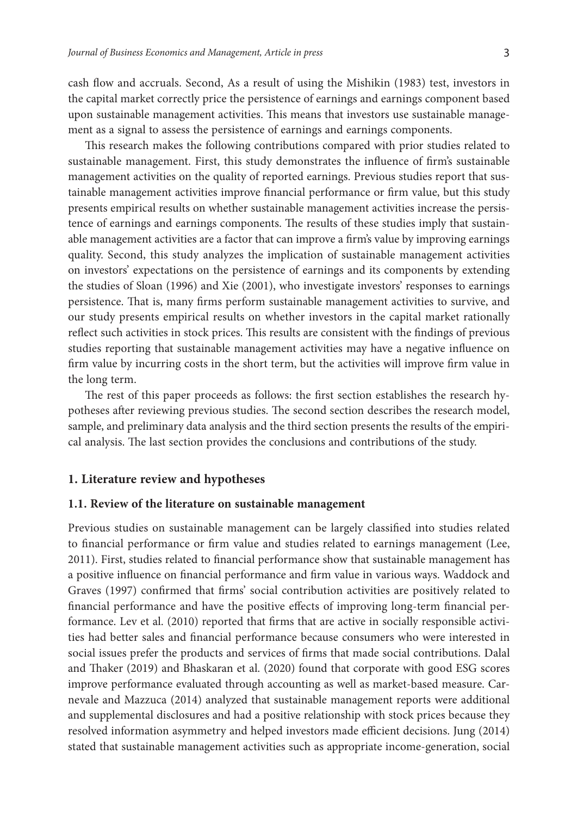cash flow and accruals. Second, As a result of using the Mishikin (1983) test, investors in the capital market correctly price the persistence of earnings and earnings component based upon sustainable management activities. This means that investors use sustainable management as a signal to assess the persistence of earnings and earnings components.

This research makes the following contributions compared with prior studies related to sustainable management. First, this study demonstrates the influence of firm's sustainable management activities on the quality of reported earnings. Previous studies report that sustainable management activities improve financial performance or firm value, but this study presents empirical results on whether sustainable management activities increase the persistence of earnings and earnings components. The results of these studies imply that sustainable management activities are a factor that can improve a firm's value by improving earnings quality. Second, this study analyzes the implication of sustainable management activities on investors' expectations on the persistence of earnings and its components by extending the studies of Sloan (1996) and Xie (2001), who investigate investors' responses to earnings persistence. That is, many firms perform sustainable management activities to survive, and our study presents empirical results on whether investors in the capital market rationally reflect such activities in stock prices. This results are consistent with the findings of previous studies reporting that sustainable management activities may have a negative influence on firm value by incurring costs in the short term, but the activities will improve firm value in the long term.

The rest of this paper proceeds as follows: the first section establishes the research hypotheses after reviewing previous studies. The second section describes the research model, sample, and preliminary data analysis and the third section presents the results of the empirical analysis. The last section provides the conclusions and contributions of the study.

#### **1. Literature review and hypotheses**

#### **1.1. Review of the literature on sustainable management**

Previous studies on sustainable management can be largely classified into studies related to financial performance or firm value and studies related to earnings management (Lee, 2011). First, studies related to financial performance show that sustainable management has a positive influence on financial performance and firm value in various ways. Waddock and Graves (1997) confirmed that firms' social contribution activities are positively related to financial performance and have the positive effects of improving long-term financial performance. Lev et al. (2010) reported that firms that are active in socially responsible activities had better sales and financial performance because consumers who were interested in social issues prefer the products and services of firms that made social contributions. Dalal and Thaker (2019) and Bhaskaran et al. (2020) found that corporate with good ESG scores improve performance evaluated through accounting as well as market-based measure. Carnevale and Mazzuca (2014) analyzed that sustainable management reports were additional and supplemental disclosures and had a positive relationship with stock prices because they resolved information asymmetry and helped investors made efficient decisions. Jung (2014) stated that sustainable management activities such as appropriate income-generation, social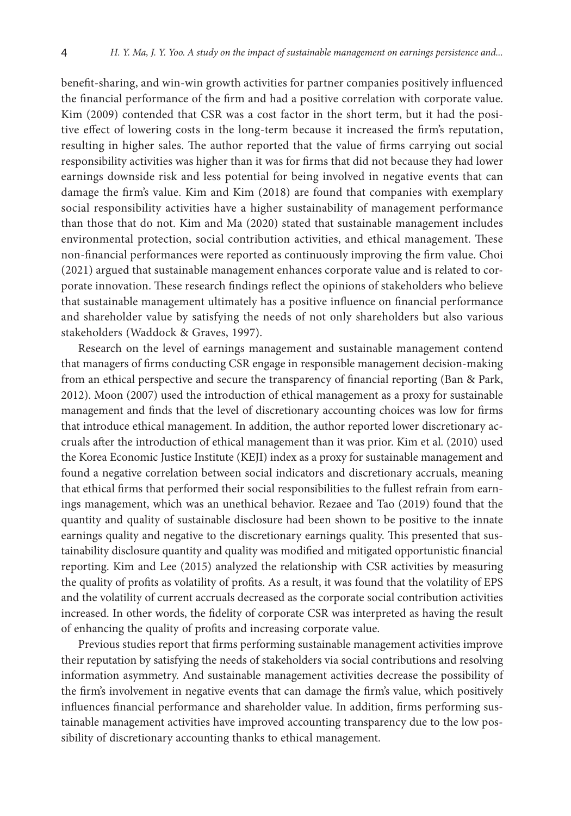benefit-sharing, and win-win growth activities for partner companies positively influenced the financial performance of the firm and had a positive correlation with corporate value. Kim (2009) contended that CSR was a cost factor in the short term, but it had the positive effect of lowering costs in the long-term because it increased the firm's reputation, resulting in higher sales. The author reported that the value of firms carrying out social responsibility activities was higher than it was for firms that did not because they had lower earnings downside risk and less potential for being involved in negative events that can damage the firm's value. Kim and Kim (2018) are found that companies with exemplary social responsibility activities have a higher sustainability of management performance than those that do not. Kim and Ma (2020) stated that sustainable management includes environmental protection, social contribution activities, and ethical management. These non-financial performances were reported as continuously improving the firm value. Choi (2021) argued that sustainable management enhances corporate value and is related to corporate innovation. These research findings reflect the opinions of stakeholders who believe that sustainable management ultimately has a positive influence on financial performance and shareholder value by satisfying the needs of not only shareholders but also various stakeholders (Waddock & Graves, 1997).

Research on the level of earnings management and sustainable management contend that managers of firms conducting CSR engage in responsible management decision-making from an ethical perspective and secure the transparency of financial reporting (Ban & Park, 2012). Moon (2007) used the introduction of ethical management as a proxy for sustainable management and finds that the level of discretionary accounting choices was low for firms that introduce ethical management. In addition, the author reported lower discretionary accruals after the introduction of ethical management than it was prior. Kim et al. (2010) used the Korea Economic Justice Institute (KEJI) index as a proxy for sustainable management and found a negative correlation between social indicators and discretionary accruals, meaning that ethical firms that performed their social responsibilities to the fullest refrain from earnings management, which was an unethical behavior. Rezaee and Tao (2019) found that the quantity and quality of sustainable disclosure had been shown to be positive to the innate earnings quality and negative to the discretionary earnings quality. This presented that sustainability disclosure quantity and quality was modified and mitigated opportunistic financial reporting. Kim and Lee (2015) analyzed the relationship with CSR activities by measuring the quality of profits as volatility of profits. As a result, it was found that the volatility of EPS and the volatility of current accruals decreased as the corporate social contribution activities increased. In other words, the fidelity of corporate CSR was interpreted as having the result of enhancing the quality of profits and increasing corporate value.

Previous studies report that firms performing sustainable management activities improve their reputation by satisfying the needs of stakeholders via social contributions and resolving information asymmetry. And sustainable management activities decrease the possibility of the firm's involvement in negative events that can damage the firm's value, which positively influences financial performance and shareholder value. In addition, firms performing sustainable management activities have improved accounting transparency due to the low possibility of discretionary accounting thanks to ethical management.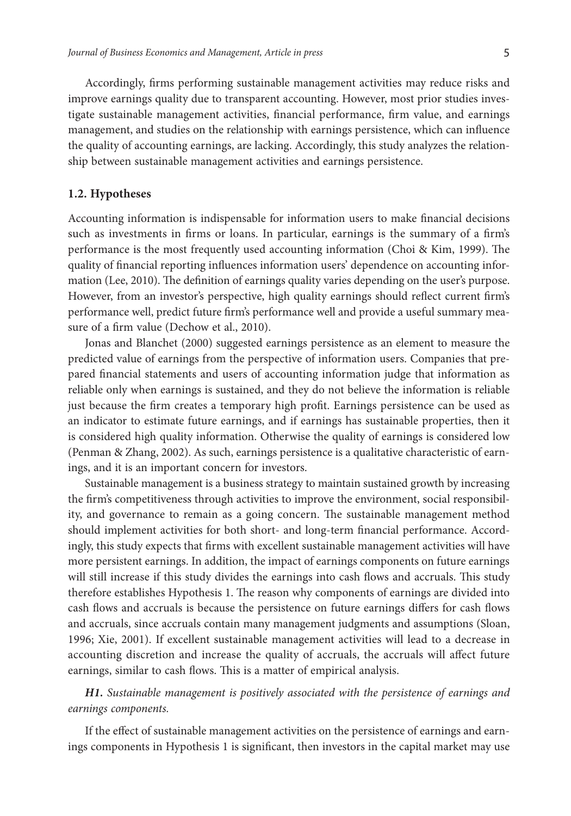Accordingly, firms performing sustainable management activities may reduce risks and improve earnings quality due to transparent accounting. However, most prior studies investigate sustainable management activities, financial performance, firm value, and earnings management, and studies on the relationship with earnings persistence, which can influence the quality of accounting earnings, are lacking. Accordingly, this study analyzes the relationship between sustainable management activities and earnings persistence.

#### **1.2. Hypotheses**

Accounting information is indispensable for information users to make financial decisions such as investments in firms or loans. In particular, earnings is the summary of a firm's performance is the most frequently used accounting information (Choi & Kim, 1999). The quality of financial reporting influences information users' dependence on accounting information (Lee, 2010). The definition of earnings quality varies depending on the user's purpose. However, from an investor's perspective, high quality earnings should reflect current firm's performance well, predict future firm's performance well and provide a useful summary measure of a firm value (Dechow et al., 2010).

Jonas and Blanchet (2000) suggested earnings persistence as an element to measure the predicted value of earnings from the perspective of information users. Companies that prepared financial statements and users of accounting information judge that information as reliable only when earnings is sustained, and they do not believe the information is reliable just because the firm creates a temporary high profit. Earnings persistence can be used as an indicator to estimate future earnings, and if earnings has sustainable properties, then it is considered high quality information. Otherwise the quality of earnings is considered low (Penman & Zhang, 2002). As such, earnings persistence is a qualitative characteristic of earnings, and it is an important concern for investors.

Sustainable management is a business strategy to maintain sustained growth by increasing the firm's competitiveness through activities to improve the environment, social responsibility, and governance to remain as a going concern. The sustainable management method should implement activities for both short- and long-term financial performance. Accordingly, this study expects that firms with excellent sustainable management activities will have more persistent earnings. In addition, the impact of earnings components on future earnings will still increase if this study divides the earnings into cash flows and accruals. This study therefore establishes Hypothesis 1. The reason why components of earnings are divided into cash flows and accruals is because the persistence on future earnings differs for cash flows and accruals, since accruals contain many management judgments and assumptions (Sloan, 1996; Xie, 2001). If excellent sustainable management activities will lead to a decrease in accounting discretion and increase the quality of accruals, the accruals will affect future earnings, similar to cash flows. This is a matter of empirical analysis.

*H1. Sustainable management is positively associated with the persistence of earnings and earnings components.*

If the effect of sustainable management activities on the persistence of earnings and earnings components in Hypothesis 1 is significant, then investors in the capital market may use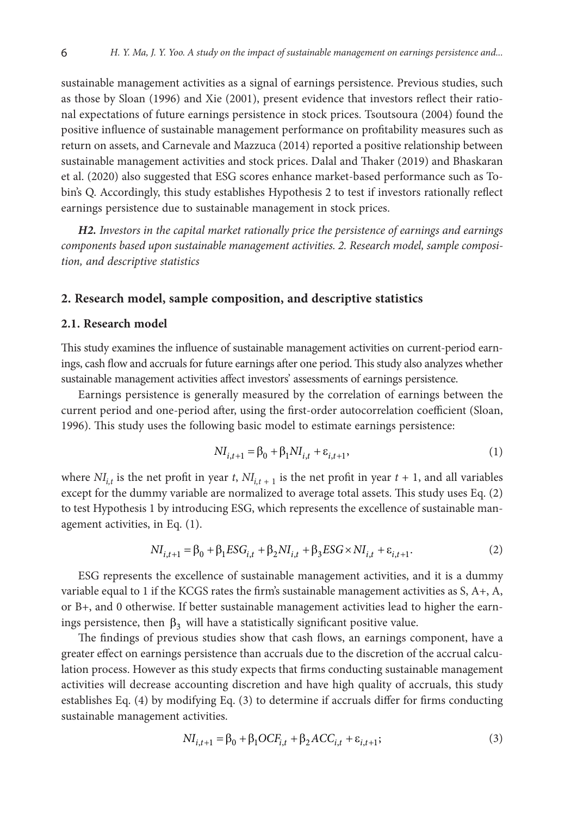sustainable management activities as a signal of earnings persistence. Previous studies, such as those by Sloan (1996) and Xie (2001), present evidence that investors reflect their rational expectations of future earnings persistence in stock prices. Tsoutsoura (2004) found the positive influence of sustainable management performance on profitability measures such as return on assets, and Carnevale and Mazzuca (2014) reported a positive relationship between sustainable management activities and stock prices. Dalal and Thaker (2019) and Bhaskaran et al. (2020) also suggested that ESG scores enhance market-based performance such as Tobin's Q. Accordingly, this study establishes Hypothesis 2 to test if investors rationally reflect earnings persistence due to sustainable management in stock prices.

*H2. Investors in the capital market rationally price the persistence of earnings and earnings components based upon sustainable management activities. 2. Research model, sample composition, and descriptive statistics*

#### **2. Research model, sample composition, and descriptive statistics**

#### **2.1. Research model**

This study examines the influence of sustainable management activities on current-period earnings, cash flow and accruals for future earnings after one period. This study also analyzes whether sustainable management activities affect investors' assessments of earnings persistence.

Earnings persistence is generally measured by the correlation of earnings between the current period and one-period after, using the first-order autocorrelation coefficient (Sloan, 1996). This study uses the following basic model to estimate earnings persistence:

$$
NI_{i,t+1} = \beta_0 + \beta_1 NI_{i,t} + \varepsilon_{i,t+1},
$$
\n(1)

where  $NI_{i,t}$  is the net profit in year *t*,  $NI_{i,t+1}$  is the net profit in year  $t + 1$ , and all variables except for the dummy variable are normalized to average total assets. This study uses Eq. (2) to test Hypothesis 1 by introducing ESG, which represents the excellence of sustainable management activities, in Eq. (1).

$$
NI_{i,t+1} = \beta_0 + \beta_1 ESG_{i,t} + \beta_2 NI_{i,t} + \beta_3 ESG \times NI_{i,t} + \varepsilon_{i,t+1}.
$$
 (2)

ESG represents the excellence of sustainable management activities, and it is a dummy variable equal to 1 if the KCGS rates the firm's sustainable management activities as S, A+, A, or B+, and 0 otherwise. If better sustainable management activities lead to higher the earnings persistence, then  $\beta_3$  will have a statistically significant positive value.

The findings of previous studies show that cash flows, an earnings component, have a greater effect on earnings persistence than accruals due to the discretion of the accrual calculation process. However as this study expects that firms conducting sustainable management activities will decrease accounting discretion and have high quality of accruals, this study establishes Eq. (4) by modifying Eq. (3) to determine if accruals differ for firms conducting sustainable management activities.

$$
NI_{i,t+1} = \beta_0 + \beta_1 OCF_{i,t} + \beta_2 ACC_{i,t} + \varepsilon_{i,t+1};
$$
\n(3)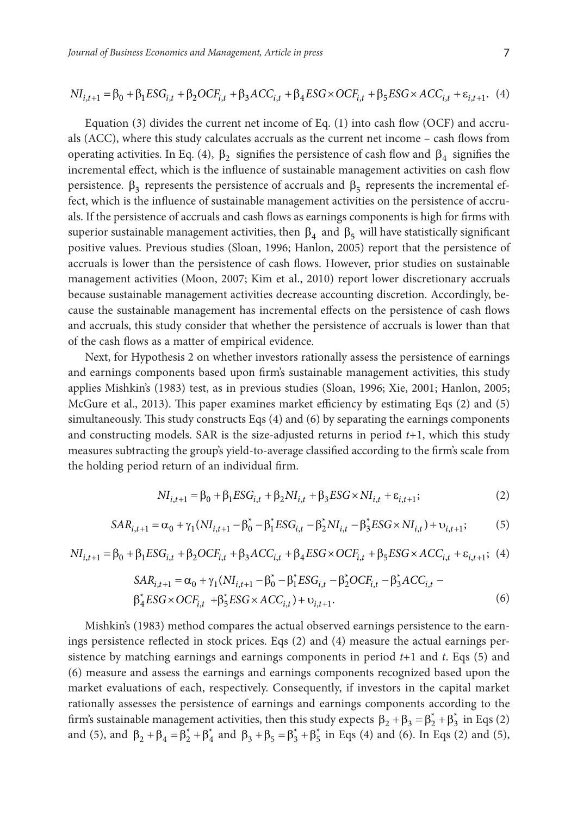$$
NI_{i,t+1} = \beta_0 + \beta_1 ESG_{i,t} + \beta_2 OCF_{i,t} + \beta_3 ACC_{i,t} + \beta_4 ESG \times OCF_{i,t} + \beta_5 ESG \times ACC_{i,t} + \varepsilon_{i,t+1}.
$$
 (4)

Equation (3) divides the current net income of Eq. (1) into cash flow (OCF) and accruals (ACC), where this study calculates accruals as the current net income – cash flows from operating activities. In Eq. (4),  $\beta_2$  signifies the persistence of cash flow and  $\beta_4$  signifies the incremental effect, which is the influence of sustainable management activities on cash flow persistence.  $\beta_3$  represents the persistence of accruals and  $\beta_5$  represents the incremental effect, which is the influence of sustainable management activities on the persistence of accruals. If the persistence of accruals and cash flows as earnings components is high for firms with superior sustainable management activities, then  $\beta_4$  and  $\beta_5$  will have statistically significant positive values. Previous studies (Sloan, 1996; Hanlon, 2005) report that the persistence of accruals is lower than the persistence of cash flows. However, prior studies on sustainable management activities (Moon, 2007; Kim et al., 2010) report lower discretionary accruals because sustainable management activities decrease accounting discretion. Accordingly, because the sustainable management has incremental effects on the persistence of cash flows and accruals, this study consider that whether the persistence of accruals is lower than that of the cash flows as a matter of empirical evidence.

Next, for Hypothesis 2 on whether investors rationally assess the persistence of earnings and earnings components based upon firm's sustainable management activities, this study applies Mishkin's (1983) test, as in previous studies (Sloan, 1996; Xie, 2001; Hanlon, 2005; McGure et al., 2013). This paper examines market efficiency by estimating Eqs (2) and (5) simultaneously. This study constructs Eqs (4) and (6) by separating the earnings components and constructing models. SAR is the size-adjusted returns in period *t*+1, which this study measures subtracting the group's yield-to-average classified according to the firm's scale from the holding period return of an individual firm.

$$
NI_{i,t+1} = \beta_0 + \beta_1 ESG_{i,t} + \beta_2 NI_{i,t} + \beta_3 ESG \times NI_{i,t} + \varepsilon_{i,t+1};
$$
\n(2)

$$
SAR_{i,t+1} = \alpha_0 + \gamma_1 (NI_{i,t+1} - \beta_0^* - \beta_1^* ESG_{i,t} - \beta_2^* NI_{i,t} - \beta_3^* ESG \times NI_{i,t}) + \upsilon_{i,t+1};
$$
 (5)

$$
NI_{i,t+1} = \beta_0 + \beta_1 ESG_{i,t} + \beta_2 OCF_{i,t} + \beta_3 ACC_{i,t} + \beta_4 ESG \times OCF_{i,t} + \beta_5 ESG \times ACC_{i,t} + \varepsilon_{i,t+1};
$$
 (4)

$$
SAR_{i,t+1} = \alpha_0 + \gamma_1 (NI_{i,t+1} - \beta_0^* - \beta_1^* ESG_{i,t} - \beta_2^* OCF_{i,t} - \beta_3^* ACC_{i,t} - \beta_4^* ESG \times OCF_{i,t} + \beta_5^* ESG \times ACC_{i,t}) + \upsilon_{i,t+1}.
$$
\n
$$
(6)
$$

Mishkin's (1983) method compares the actual observed earnings persistence to the earnings persistence reflected in stock prices. Eqs (2) and (4) measure the actual earnings persistence by matching earnings and earnings components in period *t*+1 and *t*. Eqs (5) and (6) measure and assess the earnings and earnings components recognized based upon the market evaluations of each, respectively. Consequently, if investors in the capital market rationally assesses the persistence of earnings and earnings components according to the firm's sustainable management activities, then this study expects  $\beta_2 + \beta_3 = \beta_2^* + \beta_3^*$  in Eqs (2) and (5), and  $\beta_2 + \beta_4 = \beta_2^* + \beta_4^*$  and  $\beta_3 + \beta_5 = \beta_3^* + \beta_5^*$  in Eqs (4) and (6). In Eqs (2) and (5),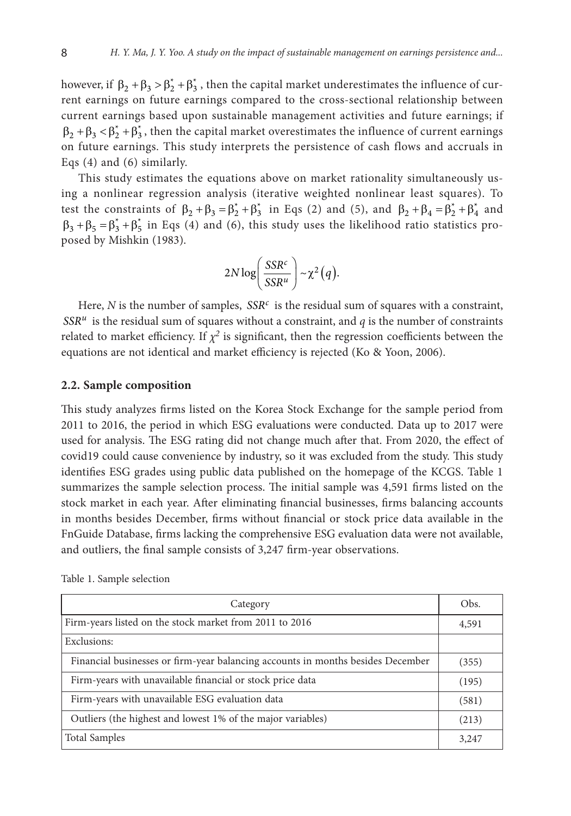however, if  $\beta_2 + \beta_3 > \beta_2^* + \beta_3^*$ , then the capital market underestimates the influence of current earnings on future earnings compared to the cross-sectional relationship between current earnings based upon sustainable management activities and future earnings; if  $\beta_2 + \beta_3 < \beta_2^* + \beta_3^*$ , then the capital market overestimates the influence of current earnings on future earnings. This study interprets the persistence of cash flows and accruals in Eqs (4) and (6) similarly.

This study estimates the equations above on market rationality simultaneously using a nonlinear regression analysis (iterative weighted nonlinear least squares). To test the constraints of  $\beta_2 + \beta_3 = \beta_2^* + \beta_3^*$  in Eqs (2) and (5), and  $\beta_2 + \beta_4 = \beta_2^* + \beta_4^*$  and  $\beta_3 + \beta_5 = \beta_3^* + \beta_5^*$  in Eqs (4) and (6), this study uses the likelihood ratio statistics proposed by Mishkin (1983).

$$
2N\log\left(\frac{SSR^c}{SSR^u}\right) \sim \chi^2(q).
$$

Here,  $N$  is the number of samples,  $SSR<sup>c</sup>$  is the residual sum of squares with a constraint,  $SSR<sup>u</sup>$  is the residual sum of squares without a constraint, and *q* is the number of constraints related to market efficiency. If  $\chi^2$  is significant, then the regression coefficients between the equations are not identical and market efficiency is rejected (Ko & Yoon, 2006).

#### **2.2. Sample composition**

This study analyzes firms listed on the Korea Stock Exchange for the sample period from 2011 to 2016, the period in which ESG evaluations were conducted. Data up to 2017 were used for analysis. The ESG rating did not change much after that. From 2020, the effect of covid19 could cause convenience by industry, so it was excluded from the study. This study identifies ESG grades using public data published on the homepage of the KCGS. Table 1 summarizes the sample selection process. The initial sample was 4,591 firms listed on the stock market in each year. After eliminating financial businesses, firms balancing accounts in months besides December, firms without financial or stock price data available in the FnGuide Database, firms lacking the comprehensive ESG evaluation data were not available, and outliers, the final sample consists of 3,247 firm-year observations.

| Category                                                                        | Obs.  |  |  |  |  |
|---------------------------------------------------------------------------------|-------|--|--|--|--|
| Firm-years listed on the stock market from 2011 to 2016                         |       |  |  |  |  |
| Exclusions:                                                                     |       |  |  |  |  |
| Financial businesses or firm-year balancing accounts in months besides December |       |  |  |  |  |
| Firm-years with unavailable financial or stock price data                       |       |  |  |  |  |
| Firm-years with unavailable ESG evaluation data                                 |       |  |  |  |  |
| Outliers (the highest and lowest 1% of the major variables)                     | (213) |  |  |  |  |
| <b>Total Samples</b>                                                            | 3,247 |  |  |  |  |

Table 1. Sample selection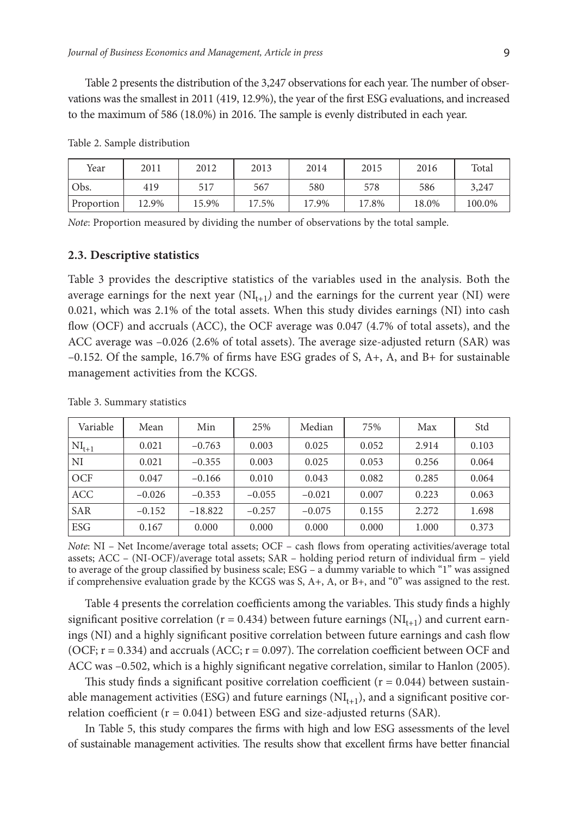Table 2 presents the distribution of the 3,247 observations for each year. The number of observations was the smallest in 2011 (419, 12.9%), the year of the first ESG evaluations, and increased to the maximum of 586 (18.0%) in 2016. The sample is evenly distributed in each year.

| Year       | 2011  | 2012  | 2013  | 2014  | 2015  | 2016  | Total  |
|------------|-------|-------|-------|-------|-------|-------|--------|
| Obs.       | 419   | 517   | 567   | 580   | 578   | 586   | 3,247  |
| Proportion | 12.9% | 15.9% | 17.5% | 17.9% | 17.8% | 18.0% | 100.0% |

Table 2. Sample distribution

*Note*: Proportion measured by dividing the number of observations by the total sample.

#### **2.3. Descriptive statistics**

Table 3 provides the descriptive statistics of the variables used in the analysis. Both the average earnings for the next year  $(NI_{t+1})$  and the earnings for the current year  $(NI)$  were 0.021, which was 2.1% of the total assets. When this study divides earnings (NI) into cash flow (OCF) and accruals (ACC), the OCF average was 0.047 (4.7% of total assets), and the ACC average was –0.026 (2.6% of total assets). The average size-adjusted return (SAR) was –0.152. Of the sample, 16.7% of firms have ESG grades of S, A+, A, and B+ for sustainable management activities from the KCGS.

| Variable   | Mean     | Min       | 25%      | Median   | 75%   | Max   | Std   |
|------------|----------|-----------|----------|----------|-------|-------|-------|
| $NI_{t+1}$ | 0.021    | $-0.763$  | 0.003    | 0.025    | 0.052 | 2.914 | 0.103 |
| NI         | 0.021    | $-0.355$  | 0.003    | 0.025    | 0.053 | 0.256 | 0.064 |
| OCF        | 0.047    | $-0.166$  | 0.010    | 0.043    | 0.082 | 0.285 | 0.064 |
| <b>ACC</b> | $-0.026$ | $-0.353$  | $-0.055$ | $-0.021$ | 0.007 | 0.223 | 0.063 |
| <b>SAR</b> | $-0.152$ | $-18.822$ | $-0.257$ | $-0.075$ | 0.155 | 2.272 | 1.698 |
| <b>ESG</b> | 0.167    | 0.000     | 0.000    | 0.000    | 0.000 | 1.000 | 0.373 |

Table 3. Summary statistics

*Note*: NI – Net Income/average total assets; OCF – cash flows from operating activities/average total assets; ACC – (NI-OCF)/average total assets; SAR – holding period return of individual firm – yield to average of the group classified by business scale; ESG – a dummy variable to which "1" was assigned if comprehensive evaluation grade by the KCGS was S, A+, A, or B+, and "0" was assigned to the rest.

Table 4 presents the correlation coefficients among the variables. This study finds a highly significant positive correlation ( $r = 0.434$ ) between future earnings ( $NI<sub>t+1</sub>$ ) and current earnings (NI) and a highly significant positive correlation between future earnings and cash flow (OCF;  $r = 0.334$ ) and accruals (ACC;  $r = 0.097$ ). The correlation coefficient between OCF and ACC was –0.502, which is a highly significant negative correlation, similar to Hanlon (2005).

This study finds a significant positive correlation coefficient ( $r = 0.044$ ) between sustainable management activities (ESG) and future earnings  $(NI_{t+1})$ , and a significant positive correlation coefficient ( $r = 0.041$ ) between ESG and size-adjusted returns (SAR).

In Table 5, this study compares the firms with high and low ESG assessments of the level of sustainable management activities. The results show that excellent firms have better financial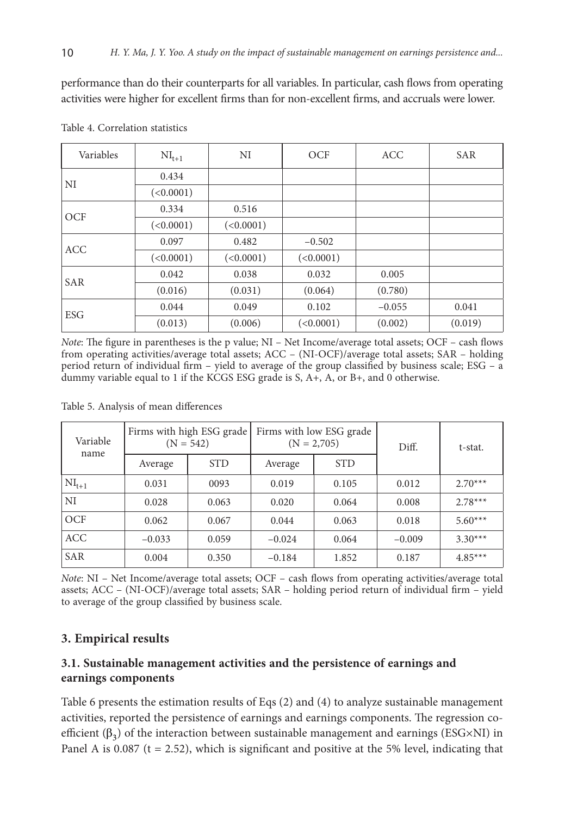performance than do their counterparts for all variables. In particular, cash flows from operating activities were higher for excellent firms than for non-excellent firms, and accruals were lower.

| Variables  | $NI_{t+1}$ | NI        | OCF       | <b>ACC</b> | <b>SAR</b> |
|------------|------------|-----------|-----------|------------|------------|
| NI         | 0.434      |           |           |            |            |
|            | (<0.0001)  |           |           |            |            |
| <b>OCF</b> | 0.334      | 0.516     |           |            |            |
|            | (<0.0001)  | (<0.0001) |           |            |            |
| <b>ACC</b> | 0.097      | 0.482     | $-0.502$  |            |            |
|            | (<0.0001)  | (<0.0001) | (<0.0001) |            |            |
| <b>SAR</b> | 0.042      | 0.038     | 0.032     | 0.005      |            |
|            | (0.016)    | (0.031)   | (0.064)   | (0.780)    |            |
|            | 0.044      | 0.049     | 0.102     | $-0.055$   | 0.041      |
| ESG        | (0.013)    | (0.006)   | (<0.0001) | (0.002)    | (0.019)    |

Table 4. Correlation statistics

*Note*: The figure in parentheses is the p value; NI – Net Income/average total assets; OCF – cash flows from operating activities/average total assets; ACC – (NI-OCF)/average total assets; SAR – holding period return of individual firm – yield to average of the group classified by business scale; ESG – a dummy variable equal to 1 if the KCGS ESG grade is S, A+, A, or B+, and 0 otherwise.

Table 5. Analysis of mean differences

| Variable<br>name |          | Firms with high ESG grade<br>$(N = 542)$ |          | Firms with low ESG grade<br>$(N = 2,705)$ | Diff.    | t-stat.   |  |
|------------------|----------|------------------------------------------|----------|-------------------------------------------|----------|-----------|--|
|                  | Average  | <b>STD</b>                               | Average  | <b>STD</b>                                |          |           |  |
| $NI_{t+1}$       | 0.031    | 0093                                     | 0.019    | 0.105                                     | 0.012    | $2.70***$ |  |
| ΝI               | 0.028    | 0.063                                    | 0.020    | 0.064                                     | 0.008    | $2.78***$ |  |
| OCF              | 0.062    | 0.067                                    | 0.044    | 0.063                                     | 0.018    | $5.60***$ |  |
| ACC              | $-0.033$ | 0.059                                    | $-0.024$ | 0.064                                     | $-0.009$ | $3.30***$ |  |
| <b>SAR</b>       | 0.004    | 0.350                                    | $-0.184$ | 1.852                                     | 0.187    | $4.85***$ |  |

*Note*: NI – Net Income/average total assets; OCF – cash flows from operating activities/average total assets; ACC – (NI-OCF)/average total assets; SAR – holding period return of individual firm – yield to average of the group classified by business scale.

# **3. Empirical results**

# **3.1. Sustainable management activities and the persistence of earnings and earnings components**

Table 6 presents the estimation results of Eqs (2) and (4) to analyze sustainable management activities, reported the persistence of earnings and earnings components. The regression coefficient  $(\beta_3)$  of the interaction between sustainable management and earnings (ESG×NI) in Panel A is  $0.087$  (t = 2.52), which is significant and positive at the 5% level, indicating that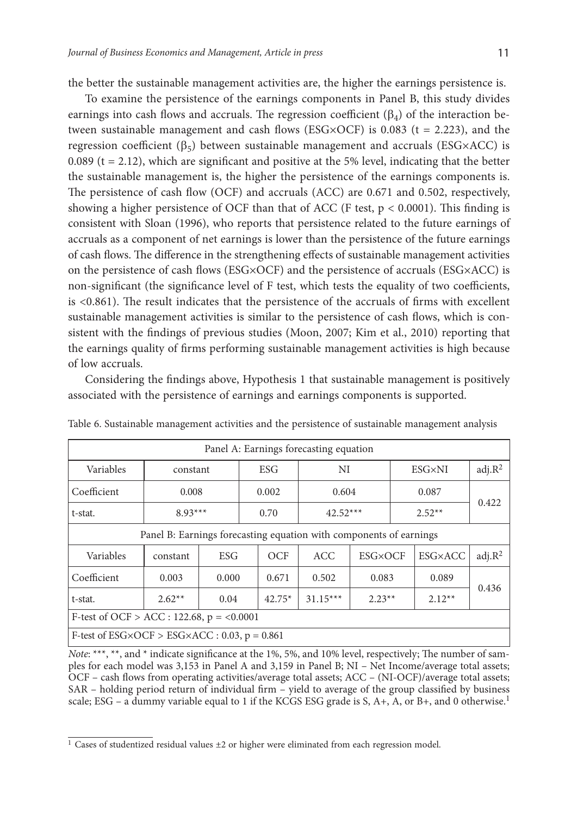the better the sustainable management activities are, the higher the earnings persistence is.

To examine the persistence of the earnings components in Panel B, this study divides earnings into cash flows and accruals. The regression coefficient  $(\beta_4)$  of the interaction between sustainable management and cash flows (ESG×OCF) is 0.083 ( $t = 2.223$ ), and the regression coefficient ( $\beta$ <sub>5</sub>) between sustainable management and accruals (ESG×ACC) is 0.089 ( $t = 2.12$ ), which are significant and positive at the 5% level, indicating that the better the sustainable management is, the higher the persistence of the earnings components is. The persistence of cash flow (OCF) and accruals (ACC) are 0.671 and 0.502, respectively, showing a higher persistence of OCF than that of ACC (F test,  $p < 0.0001$ ). This finding is consistent with Sloan (1996), who reports that persistence related to the future earnings of accruals as a component of net earnings is lower than the persistence of the future earnings of cash flows. The difference in the strengthening effects of sustainable management activities on the persistence of cash flows (ESG×OCF) and the persistence of accruals (ESG×ACC) is non-significant (the significance level of F test, which tests the equality of two coefficients, is <0.861). The result indicates that the persistence of the accruals of firms with excellent sustainable management activities is similar to the persistence of cash flows, which is consistent with the findings of previous studies (Moon, 2007; Kim et al., 2010) reporting that the earnings quality of firms performing sustainable management activities is high because of low accruals.

Considering the findings above, Hypothesis 1 that sustainable management is positively associated with the persistence of earnings and earnings components is supported.

| Panel A: Earnings forecasting equation                             |          |            |       |          |            |                |       |                |                    |  |
|--------------------------------------------------------------------|----------|------------|-------|----------|------------|----------------|-------|----------------|--------------------|--|
| Variables                                                          | constant |            | ESG   |          | NI         |                |       | ESG×NI         | adj.R <sup>2</sup> |  |
| Coefficient                                                        | 0.008    |            | 0.002 |          | 0.604      |                | 0.087 |                |                    |  |
| t-stat.                                                            |          | $8.93***$  |       | 0.70     | $42.52***$ |                |       | $2.52**$       | 0.422              |  |
| Panel B: Earnings forecasting equation with components of earnings |          |            |       |          |            |                |       |                |                    |  |
| Variables                                                          | constant | <b>ESG</b> |       | OCF      | ACC.       | <b>ESG×OCF</b> |       | <b>ESG×ACC</b> | adj.R <sup>2</sup> |  |
| Coefficient                                                        | 0.003    | 0.000      |       | 0.671    | 0.502      | 0.083          |       | 0.089          |                    |  |
| t-stat.                                                            | $2.62**$ | 0.04       |       | $42.75*$ | $31.15***$ | $2.23**$       |       | $2.12**$       | 0.436              |  |
| F-test of OCF > ACC : 122.68, $p = 0.0001$                         |          |            |       |          |            |                |       |                |                    |  |
| F-test of $ESG \times OCF > ESG \times ACC : 0.03$ , $p = 0.861$   |          |            |       |          |            |                |       |                |                    |  |

Table 6. Sustainable management activities and the persistence of sustainable management analysis

*Note*: \*\*\*, \*\*, and \* indicate significance at the 1%, 5%, and 10% level, respectively; The number of samples for each model was 3,153 in Panel A and 3,159 in Panel B; NI – Net Income/average total assets; OCF – cash flows from operating activities/average total assets; ACC – (NI-OCF)/average total assets; SAR – holding period return of individual firm – yield to average of the group classified by business scale; ESG – a dummy variable equal to 1 if the KCGS ESG grade is S, A+, A, or B+, and 0 otherwise.<sup>1</sup>

<sup>&</sup>lt;sup>1</sup> Cases of studentized residual values  $\pm 2$  or higher were eliminated from each regression model.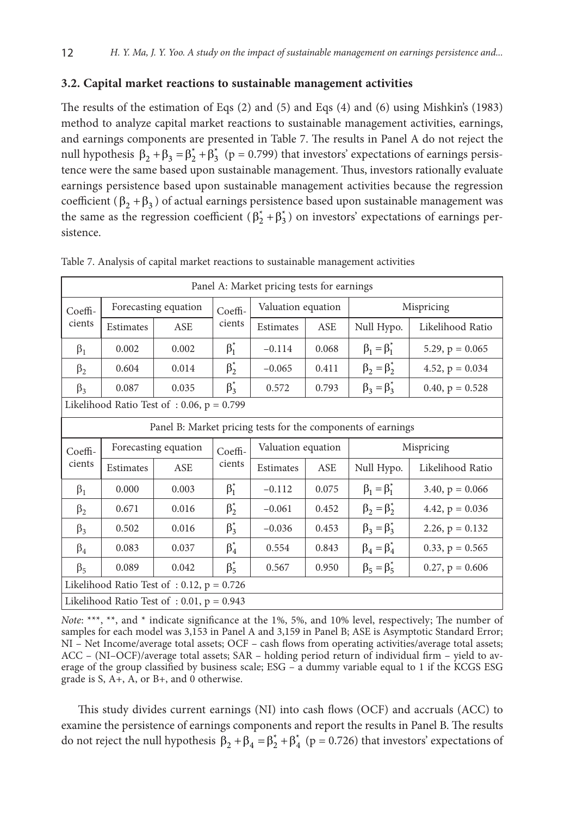### **3.2. Capital market reactions to sustainable management activities**

The results of the estimation of Eqs (2) and (5) and Eqs (4) and (6) using Mishkin's (1983) method to analyze capital market reactions to sustainable management activities, earnings, and earnings components are presented in Table 7. The results in Panel A do not reject the null hypothesis  $\beta_2 + \beta_3 = \beta_2^* + \beta_3^*$  (p = 0.799) that investors' expectations of earnings persistence were the same based upon sustainable management. Thus, investors rationally evaluate earnings persistence based upon sustainable management activities because the regression coefficient ( $\beta_2 + \beta_3$ ) of actual earnings persistence based upon sustainable management was the same as the regression coefficient  $(\beta_2^* + \beta_3^*)$  on investors' expectations of earnings persistence.

| Panel A: Market pricing tests for earnings                   |           |                                              |             |                    |                    |                       |                      |  |  |
|--------------------------------------------------------------|-----------|----------------------------------------------|-------------|--------------------|--------------------|-----------------------|----------------------|--|--|
| Coeffi-                                                      |           | Forecasting equation                         | Coeffi-     | Valuation equation |                    |                       | Mispricing           |  |  |
| cients                                                       | Estimates | <b>ASE</b>                                   | cients      | Estimates          | ASE                | Null Hypo.            | Likelihood Ratio     |  |  |
| $\beta_1$                                                    | 0.002     | 0.002                                        | $\beta_1^*$ | $-0.114$           | 0.068              | $\beta_1 = \beta_1^*$ | 5.29, $p = 0.065$    |  |  |
| $\beta_2$                                                    | 0.604     | 0.014                                        | $\beta_2^*$ | $-0.065$           | 0.411              | $\beta_2 = \beta_2^*$ | 4.52, $p = 0.034$    |  |  |
| $\beta_3$                                                    | 0.087     | 0.035                                        | $\beta_3^*$ | 0.572              | 0.793              | $\beta_3 = \beta_3^*$ | $0.40, p = 0.528$    |  |  |
| Likelihood Ratio Test of: 0.06, $p = 0.799$                  |           |                                              |             |                    |                    |                       |                      |  |  |
| Panel B: Market pricing tests for the components of earnings |           |                                              |             |                    |                    |                       |                      |  |  |
| Coeffi-                                                      |           | Forecasting equation                         | Coeffi-     |                    | Valuation equation |                       | Mispricing           |  |  |
| cients                                                       | Estimates | <b>ASE</b>                                   | cients      | Estimates          | <b>ASE</b>         | Null Hypo.            | Likelihood Ratio     |  |  |
| $\beta_1$                                                    | 0.000     | 0.003                                        | $\beta_1^*$ | $-0.112$           | 0.075              | $\beta_1 = \beta_1^*$ | $3.40, p = 0.066$    |  |  |
| $\beta_2$                                                    | 0.671     | 0.016                                        | $\beta_2^*$ | $-0.061$           | 0.452              | $\beta_2 = \beta_2^*$ | 4.42, $p = 0.036$    |  |  |
| $\beta_3$                                                    | 0.502     | 0.016                                        | $\beta_3^*$ | $-0.036$           | 0.453              | $\beta_3 = \beta_3^*$ | 2.26, $p = 0.132$    |  |  |
| $\beta_4$                                                    | 0.083     | 0.037                                        | $\beta_4^*$ | 0.554              | 0.843              | $\beta_4 = \beta_4^*$ | $0.33$ , $p = 0.565$ |  |  |
| $\beta_5$                                                    | 0.089     | 0.042                                        | $\beta_5^*$ | 0.567              | 0.950              | $\beta_5 = \beta_5^*$ | $0.27, p = 0.606$    |  |  |
|                                                              |           | Likelihood Ratio Test of : 0.12, $p = 0.726$ |             |                    |                    |                       |                      |  |  |
|                                                              |           | Likelihood Ratio Test of : 0.01, $p = 0.943$ |             |                    |                    |                       |                      |  |  |

Table 7. Analysis of capital market reactions to sustainable management activities

*Note*: \*\*\*, \*\*, and \* indicate significance at the 1%, 5%, and 10% level, respectively; The number of samples for each model was 3,153 in Panel A and 3,159 in Panel B; ASE is Asymptotic Standard Error; NI – Net Income/average total assets; OCF – cash flows from operating activities/average total assets; ACC – (NI–OCF)/average total assets; SAR – holding period return of individual firm – yield to average of the group classified by business scale; ESG – a dummy variable equal to 1 if the KCGS ESG grade is S, A+, A, or B+, and 0 otherwise.

This study divides current earnings (NI) into cash flows (OCF) and accruals (ACC) to examine the persistence of earnings components and report the results in Panel B. The results do not reject the null hypothesis  $\beta_2 + \beta_4 = \beta_2^* + \beta_4^*$  (p = 0.726) that investors' expectations of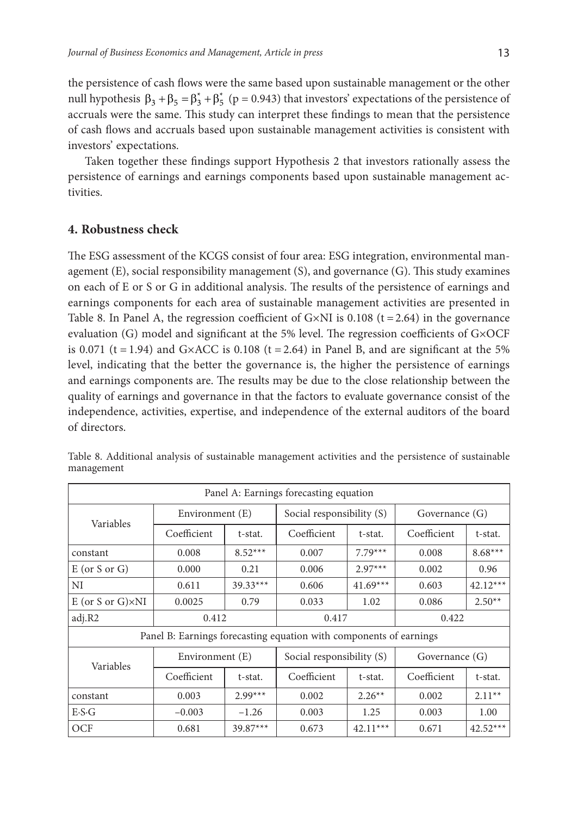the persistence of cash flows were the same based upon sustainable management or the other null hypothesis  $\beta_3 + \beta_5 = \beta_3^* + \beta_5^*$  (p = 0.943) that investors' expectations of the persistence of accruals were the same. This study can interpret these findings to mean that the persistence of cash flows and accruals based upon sustainable management activities is consistent with investors' expectations.

Taken together these findings support Hypothesis 2 that investors rationally assess the persistence of earnings and earnings components based upon sustainable management activities.

# **4. Robustness check**

The ESG assessment of the KCGS consist of four area: ESG integration, environmental management (E), social responsibility management (S), and governance (G). This study examines on each of E or S or G in additional analysis. The results of the persistence of earnings and earnings components for each area of sustainable management activities are presented in Table 8. In Panel A, the regression coefficient of G×NI is  $0.108$  (t = 2.64) in the governance evaluation (G) model and significant at the 5% level. The regression coefficients of G×OCF is 0.071 (t = 1.94) and G×ACC is 0.108 (t = 2.64) in Panel B, and are significant at the 5% level, indicating that the better the governance is, the higher the persistence of earnings and earnings components are. The results may be due to the close relationship between the quality of earnings and governance in that the factors to evaluate governance consist of the independence, activities, expertise, and independence of the external auditors of the board of directors.

| Panel A: Earnings forecasting equation |                                                                    |            |                           |            |                |            |  |  |  |  |
|----------------------------------------|--------------------------------------------------------------------|------------|---------------------------|------------|----------------|------------|--|--|--|--|
| Variables                              | Environment (E)                                                    |            | Social responsibility (S) |            | Governance (G) |            |  |  |  |  |
|                                        | Coefficient                                                        | t-stat.    | Coefficient               | t-stat.    | Coefficient    | t-stat.    |  |  |  |  |
| constant                               | 0.008                                                              | $8.52***$  | 0.007                     | $7.79***$  | 0.008          | $8.68***$  |  |  |  |  |
| $E$ (or S or G)                        | 0.000                                                              | 0.21       | 0.006                     | $2.97***$  | 0.002          | 0.96       |  |  |  |  |
| NI                                     | 0.611                                                              | $39.33***$ | 0.606                     | $41.69***$ | 0.603          | $42.12***$ |  |  |  |  |
| $E$ (or S or G) $\times$ NI            | 0.0025                                                             |            | 0.033                     | 1.02       | 0.086          | $2.50**$   |  |  |  |  |
| adj.R2                                 | 0.412                                                              |            | 0.417                     |            | 0.422          |            |  |  |  |  |
|                                        | Panel B: Earnings forecasting equation with components of earnings |            |                           |            |                |            |  |  |  |  |
| Variables                              | Environment (E)                                                    |            | Social responsibility (S) |            | Governance (G) |            |  |  |  |  |
|                                        | Coefficient                                                        | t-stat.    | Coefficient               | t-stat.    | Coefficient    | t-stat.    |  |  |  |  |
| constant                               | 0.003                                                              | $2.99***$  | 0.002                     | $2.26**$   | 0.002          | $2.11**$   |  |  |  |  |
| $E-S-G$                                | $-0.003$                                                           | $-1.26$    | 0.003                     | 1.25       | 0.003          | 1.00       |  |  |  |  |
| OCF                                    | 0.681                                                              | $39.87***$ | 0.673                     | $42.11***$ | 0.671          | $42.52***$ |  |  |  |  |

Table 8. Additional analysis of sustainable management activities and the persistence of sustainable management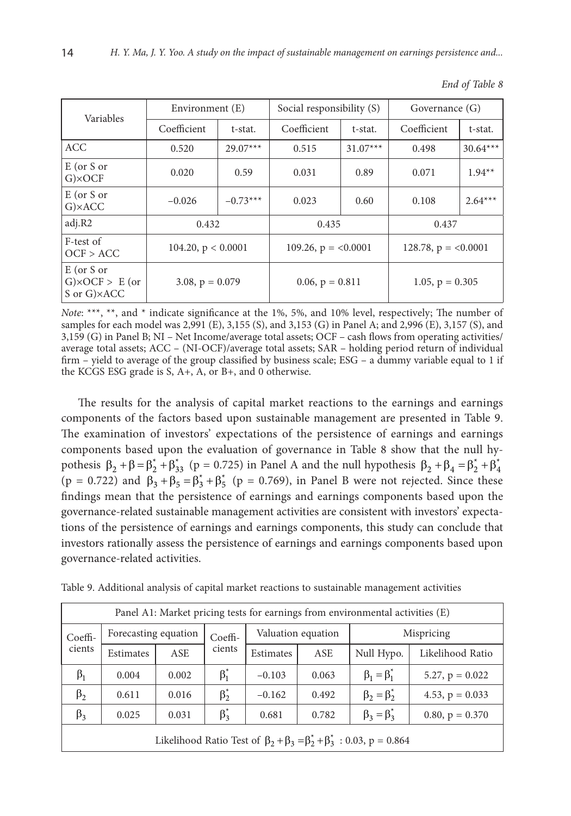| Variables                                              | Environment (E)      |            | Social responsibility (S) |                        | Governance (G)        |            |  |
|--------------------------------------------------------|----------------------|------------|---------------------------|------------------------|-----------------------|------------|--|
|                                                        | Coefficient          | t-stat.    |                           | Coefficient<br>t-stat. |                       | t-stat.    |  |
| <b>ACC</b>                                             | 0.520                | $29.07***$ | 0.515                     | $31.07***$             | 0.498                 | $30.64***$ |  |
| $E$ (or S or<br>$G\times$ OCF                          | 0.020                | 0.59       | 0.031                     | 0.89                   | 0.071                 | $1.94**$   |  |
| $E$ (or $S$ or<br>$G$ $\times$ ACC                     | $-0.026$             | $-0.73***$ | 0.023                     | 0.60                   | 0.108                 | $2.64***$  |  |
| adj.R2                                                 | 0.432                |            | 0.435                     |                        | 0.437                 |            |  |
| F-test of<br>OCF > ACC                                 | 104.20, $p < 0.0001$ |            | 109.26, $p = <0.0001$     |                        | 128.78, $p = <0.0001$ |            |  |
| $E$ (or $S$ or<br>$G\times OCF > E$ (or<br>S or G)×ACC | 3.08, $p = 0.079$    |            | $0.06, p = 0.811$         |                        | 1.05, $p = 0.305$     |            |  |

|  | End of Table 8 |
|--|----------------|
|--|----------------|

*Note*: \*\*\*, \*\*, and \* indicate significance at the 1%, 5%, and 10% level, respectively; The number of samples for each model was 2,991 (E), 3,155 (S), and 3,153 (G) in Panel A; and 2,996 (E), 3,157 (S), and 3,159 (G) in Panel B; NI – Net Income/average total assets; OCF – cash flows from operating activities/ average total assets; ACC – (NI-OCF)/average total assets; SAR – holding period return of individual firm – yield to average of the group classified by business scale; ESG – a dummy variable equal to 1 if the KCGS ESG grade is S, A+, A, or B+, and 0 otherwise.

The results for the analysis of capital market reactions to the earnings and earnings components of the factors based upon sustainable management are presented in Table 9. The examination of investors' expectations of the persistence of earnings and earnings components based upon the evaluation of governance in Table 8 show that the null hypothesis  $\beta_2 + \beta = \beta_2^* + \beta_{33}^*$  (p = 0.725) in Panel A and the null hypothesis  $\beta_2 + \beta_4 = \beta_2^* + \beta_4^*$  $(p = 0.722)$  and  $\beta_3 + \beta_5 = \beta_3^* + \beta_5^*$  (p = 0.769), in Panel B were not rejected. Since these findings mean that the persistence of earnings and earnings components based upon the governance-related sustainable management activities are consistent with investors' expectations of the persistence of earnings and earnings components, this study can conclude that investors rationally assess the persistence of earnings and earnings components based upon governance-related activities.

|  |  |  |  |  |  |  |  | Table 9. Additional analysis of capital market reactions to sustainable management activities |  |
|--|--|--|--|--|--|--|--|-----------------------------------------------------------------------------------------------|--|
|--|--|--|--|--|--|--|--|-----------------------------------------------------------------------------------------------|--|

| Panel A1: Market pricing tests for earnings from environmental activities (E) |                                                                                         |       |             |           |                    |                       |                   |  |  |  |
|-------------------------------------------------------------------------------|-----------------------------------------------------------------------------------------|-------|-------------|-----------|--------------------|-----------------------|-------------------|--|--|--|
| Coeffi-                                                                       | Forecasting equation                                                                    |       | Coeffi-     |           | Valuation equation | Mispricing            |                   |  |  |  |
| cients                                                                        | Estimates                                                                               | ASE   | cients      | Estimates | ASE                | Null Hypo.            | Likelihood Ratio  |  |  |  |
| $\beta_1$                                                                     | 0.004                                                                                   | 0.002 | $\beta_1^*$ | $-0.103$  | 0.063              | $\beta_1 = \beta_1^*$ | 5.27, $p = 0.022$ |  |  |  |
| $\beta_2$                                                                     | 0.611                                                                                   | 0.016 | $\beta_2^*$ | $-0.162$  | 0.492              | $\beta_2 = \beta_2^*$ | 4.53, $p = 0.033$ |  |  |  |
| $\beta_3$                                                                     | 0.025                                                                                   | 0.031 | $\beta_3^*$ | 0.681     | 0.782              | $\beta_3 = \beta_3^*$ | $0.80, p = 0.370$ |  |  |  |
|                                                                               | Likelihood Ratio Test of $\beta_2 + \beta_3 = \beta_2^* + \beta_3^* : 0.03$ , p = 0.864 |       |             |           |                    |                       |                   |  |  |  |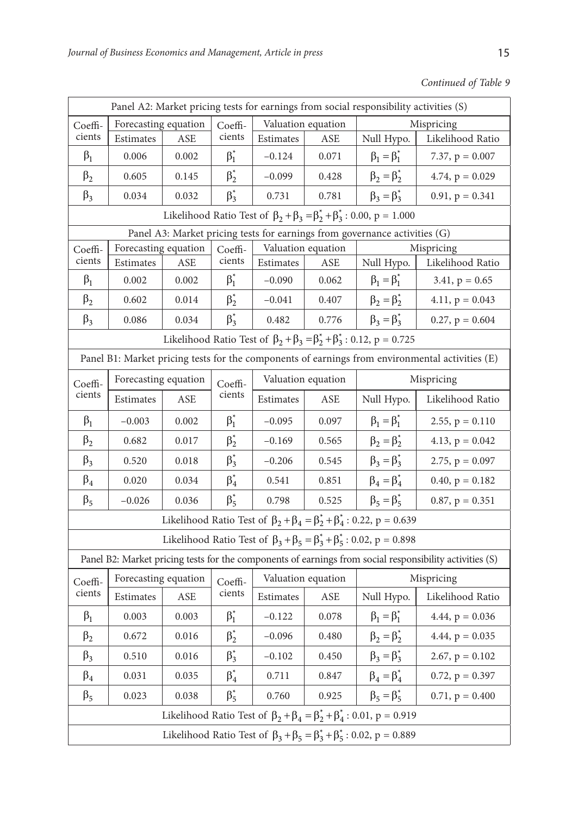*Continued of Table 9*

| Panel A2: Market pricing tests for earnings from social responsibility activities (S)           |                      |       |                   |                    |                    |                                                                                         |                                                                                                         |  |  |  |  |  |
|-------------------------------------------------------------------------------------------------|----------------------|-------|-------------------|--------------------|--------------------|-----------------------------------------------------------------------------------------|---------------------------------------------------------------------------------------------------------|--|--|--|--|--|
| Coeffi-                                                                                         | Forecasting equation |       | Coeffi-           | Valuation equation |                    | Mispricing                                                                              |                                                                                                         |  |  |  |  |  |
| cients                                                                                          | Estimates            | ASE   | cients            | Estimates          | ASE                | Null Hypo.                                                                              | Likelihood Ratio                                                                                        |  |  |  |  |  |
| $\beta_1$                                                                                       | 0.006                | 0.002 | $\beta_1^*$       | $-0.124$           | 0.071              | $\beta_1 = \beta_1^*$                                                                   | 7.37, $p = 0.007$                                                                                       |  |  |  |  |  |
| $\beta_2$                                                                                       | 0.605                | 0.145 | $\beta_2^*$       | $-0.099$           | 0.428              | $\beta_2 = \beta_2^*$                                                                   | 4.74, $p = 0.029$                                                                                       |  |  |  |  |  |
| $\beta_3$                                                                                       | 0.034                | 0.032 | $\beta_3^*$       | 0.731              | 0.781              | $\beta_3 = \beta_3^*$                                                                   | $0.91$ , $p = 0.341$                                                                                    |  |  |  |  |  |
| Likelihood Ratio Test of $\beta_2 + \beta_3 = \beta_2^* + \beta_3^* : 0.00, p = 1.000$          |                      |       |                   |                    |                    |                                                                                         |                                                                                                         |  |  |  |  |  |
| Panel A3: Market pricing tests for earnings from governance activities (G)                      |                      |       |                   |                    |                    |                                                                                         |                                                                                                         |  |  |  |  |  |
| Coeffi-                                                                                         | Forecasting equation |       | Coeffi-           | Valuation equation |                    | Mispricing                                                                              |                                                                                                         |  |  |  |  |  |
| cients                                                                                          | Estimates            | ASE   | cients            | Estimates          | ASE                | Null Hypo.                                                                              | Likelihood Ratio                                                                                        |  |  |  |  |  |
| $\beta_1$                                                                                       | 0.002                | 0.002 | $\beta_1^*$       | $-0.090$           | 0.062              | $\beta_1 = \beta_1^*$                                                                   | $3.41, p = 0.65$                                                                                        |  |  |  |  |  |
| $\beta_2$                                                                                       | 0.602                | 0.014 | $\beta_2^*$       | $-0.041$           | 0.407              | $\beta_2 = \beta_2^*$                                                                   | 4.11, $p = 0.043$                                                                                       |  |  |  |  |  |
| $\beta_3$                                                                                       | 0.086                | 0.034 | $\beta_3^*$       | 0.482              | 0.776              | $\beta_3 = \beta_3^*$                                                                   | $0.27, p = 0.604$                                                                                       |  |  |  |  |  |
| Likelihood Ratio Test of $\beta_2 + \beta_3 = \beta_2^* + \beta_3^* : 0.12$ , p = 0.725         |                      |       |                   |                    |                    |                                                                                         |                                                                                                         |  |  |  |  |  |
| Panel B1: Market pricing tests for the components of earnings from environmental activities (E) |                      |       |                   |                    |                    |                                                                                         |                                                                                                         |  |  |  |  |  |
| Coeffi-<br>cients                                                                               | Forecasting equation |       | Coeffi-<br>cients | Valuation equation |                    | Mispricing                                                                              |                                                                                                         |  |  |  |  |  |
|                                                                                                 | Estimates            | ASE   |                   | Estimates          | ASE                | Null Hypo.                                                                              | Likelihood Ratio                                                                                        |  |  |  |  |  |
| $\beta_1$                                                                                       | $-0.003$             | 0.002 | $\beta_1^*$       | $-0.095$           | 0.097              | $\beta_1 = \beta_1^*$                                                                   | $2.55, p = 0.110$                                                                                       |  |  |  |  |  |
| $\beta_2$                                                                                       | 0.682                | 0.017 | $\beta_2^*$       | $-0.169$           | 0.565              | $\beta_2 = \beta_2^*$                                                                   | 4.13, $p = 0.042$                                                                                       |  |  |  |  |  |
| $\beta_3$                                                                                       | 0.520                | 0.018 | $\beta_3^*$       | $-0.206$           | 0.545              | $\beta_3 = \beta_3^*$                                                                   | 2.75, $p = 0.097$                                                                                       |  |  |  |  |  |
| $\beta_4$                                                                                       | 0.020                | 0.034 | $\beta_4^*$       | 0.541              | 0.851              | $\beta_4 = \beta_4^*$                                                                   | $0.40, p = 0.182$                                                                                       |  |  |  |  |  |
| $\beta_5$                                                                                       | $-0.026$             | 0.036 | $\beta_5^*$       | 0.798              | 0.525              | $\beta_5 = \beta_5^*$                                                                   | $0.87, p = 0.351$                                                                                       |  |  |  |  |  |
| Likelihood Ratio Test of $\beta_2 + \beta_4 = \beta_2^* + \beta_4^* : 0.22$ , p = 0.639         |                      |       |                   |                    |                    |                                                                                         |                                                                                                         |  |  |  |  |  |
|                                                                                                 |                      |       |                   |                    |                    | Likelihood Ratio Test of $\beta_3 + \beta_5 = \beta_3^* + \beta_5^* : 0.02$ , p = 0.898 |                                                                                                         |  |  |  |  |  |
|                                                                                                 |                      |       |                   |                    |                    |                                                                                         | Panel B2: Market pricing tests for the components of earnings from social responsibility activities (S) |  |  |  |  |  |
| Coeffi-<br>cients                                                                               | Forecasting equation |       | Coeffi-           |                    | Valuation equation |                                                                                         | Mispricing                                                                                              |  |  |  |  |  |
|                                                                                                 | Estimates            | ASE   | cients            | Estimates          | ASE                | Null Hypo.                                                                              | Likelihood Ratio                                                                                        |  |  |  |  |  |
| $\beta_1$                                                                                       | 0.003                | 0.003 | $\beta_1^*$       | $-0.122$           | 0.078              | $\beta_1 = \beta_1^*$                                                                   | 4.44, $p = 0.036$                                                                                       |  |  |  |  |  |
| $\beta_2$                                                                                       | 0.672                | 0.016 | $\beta_2^*$       | $-0.096$           | 0.480              | $\beta_2 = \beta_2^*$                                                                   | 4.44, $p = 0.035$                                                                                       |  |  |  |  |  |
| $\beta_3$                                                                                       | 0.510                | 0.016 | $\beta_3^*$       | $-0.102$           | 0.450              | $\beta_3 = \beta_3^*$                                                                   | 2.67, $p = 0.102$                                                                                       |  |  |  |  |  |
| $\beta_4$                                                                                       | 0.031                | 0.035 | $\beta_4^*$       | 0.711              | 0.847              | $\beta_4 = \beta_4^*$                                                                   | $0.72, p = 0.397$                                                                                       |  |  |  |  |  |
| $\beta_5$                                                                                       | 0.023                | 0.038 | $\beta_5^*$       | 0.760              | 0.925              | $\beta_5 = \beta_5^*$                                                                   | $0.71, p = 0.400$                                                                                       |  |  |  |  |  |
| Likelihood Ratio Test of $\beta_2 + \beta_4 = \beta_2^* + \beta_4^* : 0.01, p = 0.919$          |                      |       |                   |                    |                    |                                                                                         |                                                                                                         |  |  |  |  |  |
| Likelihood Ratio Test of $\beta_3 + \beta_5 = \beta_3^* + \beta_5^* : 0.02$ , p = 0.889         |                      |       |                   |                    |                    |                                                                                         |                                                                                                         |  |  |  |  |  |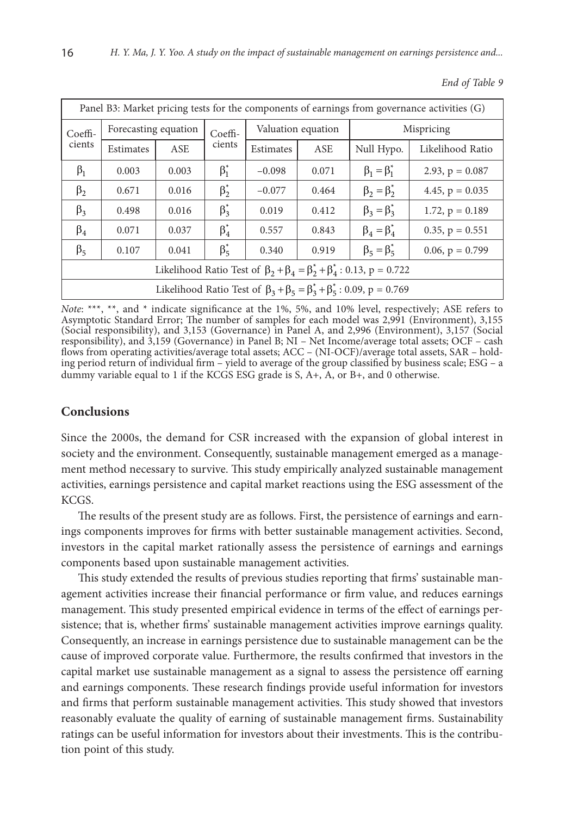| Panel B3: Market pricing tests for the components of earnings from governance activities (G) |                      |       |             |                    |       |                       |                   |  |  |  |
|----------------------------------------------------------------------------------------------|----------------------|-------|-------------|--------------------|-------|-----------------------|-------------------|--|--|--|
| $C$ oeffi-<br>cients                                                                         | Forecasting equation |       | $C$ oeffi-  | Valuation equation |       | Mispricing            |                   |  |  |  |
|                                                                                              | Estimates            | ASE   | cients      | Estimates          | ASE   | Null Hypo.            | Likelihood Ratio  |  |  |  |
| $\beta_1$                                                                                    | 0.003                | 0.003 | $\beta_1^*$ | $-0.098$           | 0.071 | $\beta_1 = \beta_1^*$ | 2.93, $p = 0.087$ |  |  |  |
| $\beta_2$                                                                                    | 0.671                | 0.016 | $\beta_2^*$ | $-0.077$           | 0.464 | $\beta_2 = \beta_2^*$ | 4.45, $p = 0.035$ |  |  |  |
| $\beta_3$                                                                                    | 0.498                | 0.016 | $\beta_3^*$ | 0.019              | 0.412 | $\beta_3 = \beta_3^*$ | 1.72, $p = 0.189$ |  |  |  |
| $\beta_4$                                                                                    | 0.071                | 0.037 | $\beta_4^*$ | 0.557              | 0.843 | $\beta_4 = \beta_4^*$ | $0.35, p = 0.551$ |  |  |  |
| $\beta_5$                                                                                    | 0.107                | 0.041 | $\beta_5^*$ | 0.340              | 0.919 | $\beta_5 = \beta_5^*$ | 0.06, $p = 0.799$ |  |  |  |
| Likelihood Ratio Test of $\beta_2 + \beta_4 = \beta_2^* + \beta_4^* : 0.13$ , p = 0.722      |                      |       |             |                    |       |                       |                   |  |  |  |
| Likelihood Ratio Test of $\beta_3 + \beta_5 = \beta_3^* + \beta_5^* : 0.09$ , p = 0.769      |                      |       |             |                    |       |                       |                   |  |  |  |

*End of Table 9*

*Note*: \*\*\*, \*\*, and \* indicate significance at the 1%, 5%, and 10% level, respectively; ASE refers to Asymptotic Standard Error; The number of samples for each model was 2,991 (Environment), 3,155 (Social responsibility), and 3,153 (Governance) in Panel A, and 2,996 (Environment), 3,157 (Social responsibility), and 3,159 (Governance) in Panel B; NI – Net Income/average total assets; OCF – cash flows from operating activities/average total assets; ACC – (NI-OCF)/average total assets, SAR – holding period return of individual firm – yield to average of the group classified by business scale; ESG – a dummy variable equal to 1 if the KCGS ESG grade is S, A+, A, or B+, and 0 otherwise.

# **Conclusions**

Since the 2000s, the demand for CSR increased with the expansion of global interest in society and the environment. Consequently, sustainable management emerged as a management method necessary to survive. This study empirically analyzed sustainable management activities, earnings persistence and capital market reactions using the ESG assessment of the KCGS.

The results of the present study are as follows. First, the persistence of earnings and earnings components improves for firms with better sustainable management activities. Second, investors in the capital market rationally assess the persistence of earnings and earnings components based upon sustainable management activities.

This study extended the results of previous studies reporting that firms' sustainable management activities increase their financial performance or firm value, and reduces earnings management. This study presented empirical evidence in terms of the effect of earnings persistence; that is, whether firms' sustainable management activities improve earnings quality. Consequently, an increase in earnings persistence due to sustainable management can be the cause of improved corporate value. Furthermore, the results confirmed that investors in the capital market use sustainable management as a signal to assess the persistence off earning and earnings components. These research findings provide useful information for investors and firms that perform sustainable management activities. This study showed that investors reasonably evaluate the quality of earning of sustainable management firms. Sustainability ratings can be useful information for investors about their investments. This is the contribution point of this study.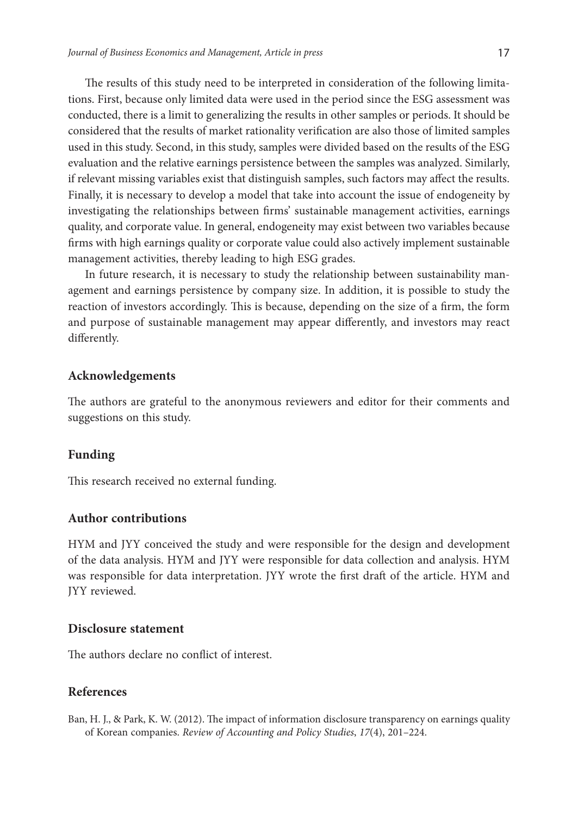The results of this study need to be interpreted in consideration of the following limitations. First, because only limited data were used in the period since the ESG assessment was conducted, there is a limit to generalizing the results in other samples or periods. It should be considered that the results of market rationality verification are also those of limited samples used in this study. Second, in this study, samples were divided based on the results of the ESG evaluation and the relative earnings persistence between the samples was analyzed. Similarly, if relevant missing variables exist that distinguish samples, such factors may affect the results. Finally, it is necessary to develop a model that take into account the issue of endogeneity by investigating the relationships between firms' sustainable management activities, earnings quality, and corporate value. In general, endogeneity may exist between two variables because firms with high earnings quality or corporate value could also actively implement sustainable management activities, thereby leading to high ESG grades.

In future research, it is necessary to study the relationship between sustainability management and earnings persistence by company size. In addition, it is possible to study the reaction of investors accordingly. This is because, depending on the size of a firm, the form and purpose of sustainable management may appear differently, and investors may react differently.

### **Acknowledgements**

The authors are grateful to the anonymous reviewers and editor for their comments and suggestions on this study.

#### **Funding**

This research received no external funding.

# **Author contributions**

HYM and JYY conceived the study and were responsible for the design and development of the data analysis. HYM and JYY were responsible for data collection and analysis. HYM was responsible for data interpretation. JYY wrote the first draft of the article. HYM and JYY reviewed.

### **Disclosure statement**

The authors declare no conflict of interest.

### **References**

Ban, H. J., & Park, K. W. (2012). The impact of information disclosure transparency on earnings quality of Korean companies. *Review of Accounting and Policy Studies*, *17*(4), 201–224.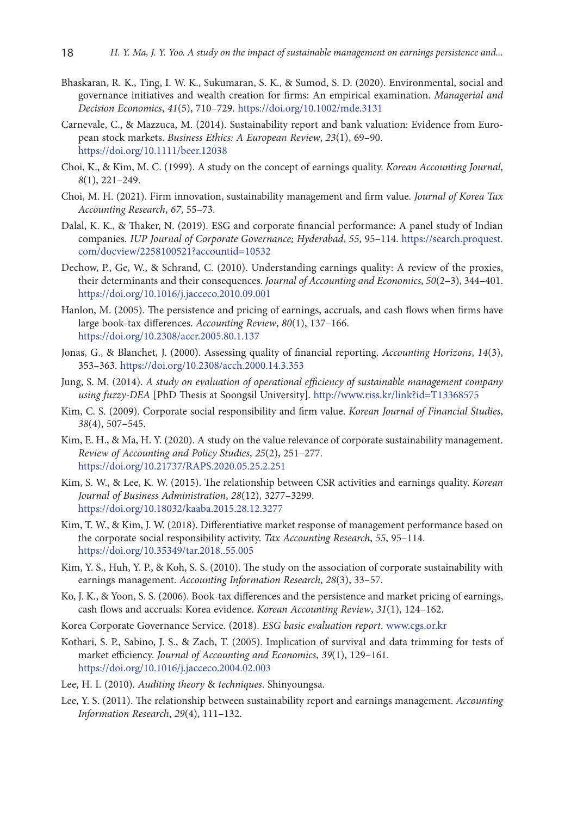- Bhaskaran, R. K., Ting, I. W. K., Sukumaran, S. K., & Sumod, S. D. (2020). Environmental, social and governance initiatives and wealth creation for firms: An empirical examination. *Managerial and Decision Economics*, *41*(5), 710–729. <https://doi.org/10.1002/mde.3131>
- Carnevale, C., & Mazzuca, M. (2014). Sustainability report and bank valuation: Evidence from European stock markets. *Business Ethics: A European Review*, *23*(1), 69–90. <https://doi.org/10.1111/beer.12038>
- Choi, K., & Kim, M. C. (1999). A study on the concept of earnings quality. *Korean Accounting Journal*, *8*(1), 221–249.
- Choi, M. H. (2021). Firm innovation, sustainability management and firm value. *Journal of Korea Tax Accounting Research*, *67*, 55–73.
- Dalal, K. K., & Thaker, N. (2019). ESG and corporate financial performance: A panel study of Indian companies*. IUP Journal of Corporate Governance; Hyderabad*, *55*, 95–114. https://search.proquest. com/docview/2258100521?accountid=10532
- Dechow, P., Ge, W., & Schrand, C. (2010). Understanding earnings quality: A review of the proxies, their determinants and their consequences. *Journal of Accounting and Economics*, *50*(2–3), 344–401. <https://doi.org/10.1016/j.jacceco.2010.09.001>
- Hanlon, M. (2005). The persistence and pricing of earnings, accruals, and cash flows when firms have large book-tax differences. *Accounting Review*, *80*(1), 137–166. <https://doi.org/10.2308/accr.2005.80.1.137>
- Jonas, G., & Blanchet, J. (2000). Assessing quality of financial reporting. *Accounting Horizons*, *14*(3), 353–363. <https://doi.org/10.2308/acch.2000.14.3.353>
- Jung, S. M. (2014). *A study on evaluation of operational efficiency of sustainable management company using fuzzy-DEA* [PhD Thesis at Soongsil University]. [http://www.riss.kr/link?id=T13368575](file:///D:/Audrone_Gurkliene/_Audrone/Zurnalai/JBEM/_2022/16436/javascript:void(0);)
- Kim, C. S. (2009). Corporate social responsibility and firm value. *Korean Journal of Financial Studies*, *38*(4), 507–545.
- Kim, E. H., & Ma, H. Y. (2020). A study on the value relevance of corporate sustainability management. *Review of Accounting and Policy Studies*, *25*(2), 251–277. <https://doi.org/10.21737/RAPS.2020.05.25.2.251>
- Kim, S. W., & Lee, K. W. (2015). The relationship between CSR activities and earnings quality. *Korean Journal of Business Administration*, *28*(12), 3277–3299. <https://doi.org/10.18032/kaaba.2015.28.12.3277>
- Kim, T. W., & Kim, J. W. (2018). Differentiative market response of management performance based on the corporate social responsibility activity. *Tax Accounting Research*, *55*, 95–114. <https://doi.org/10.35349/tar.2018..55.005>
- Kim, Y. S., Huh, Y. P., & Koh, S. S. (2010). The study on the association of corporate sustainability with earnings management. *Accounting Information Research*, *28*(3), 33–57.
- Ko, J. K., & Yoon, S. S. (2006). Book-tax differences and the persistence and market pricing of earnings, cash flows and accruals: Korea evidence. *Korean Accounting Review*, *31*(1), 124–162.
- Korea Corporate Governance Service. (2018). *ESG basic evaluation report*. [www.cgs.or.kr](http://www.cgs.or.kr)
- Kothari, S. P., Sabino, J. S., & Zach, T. (2005). Implication of survival and data trimming for tests of market efficiency. *Journal of Accounting and Economics*, *39*(1), 129–161. <https://doi.org/10.1016/j.jacceco.2004.02.003>
- Lee, H. I. (2010). *Auditing theory* & *techniques*. Shinyoungsa.
- Lee, Y. S. (2011). The relationship between sustainability report and earnings management. *Accounting Information Research*, *29*(4), 111–132.